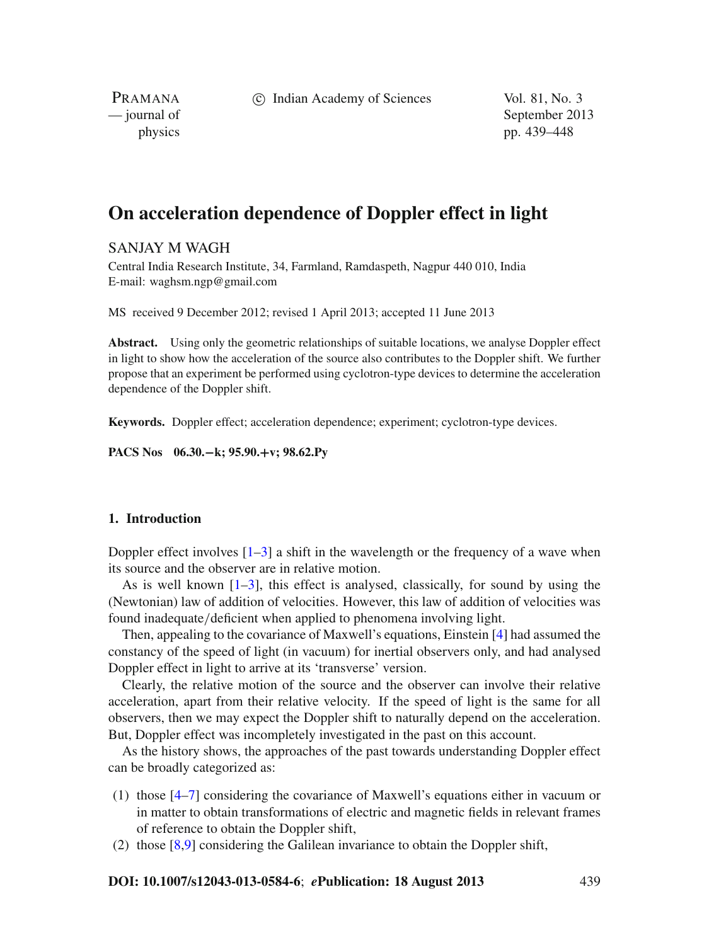c Indian Academy of Sciences Vol. 81, No. 3

PRAMANA

— journal of September 2013 physics pp. 439–448

# **On acceleration dependence of Doppler effect in light**

## SANJAY M WAGH

Central India Research Institute, 34, Farmland, Ramdaspeth, Nagpur 440 010, India E-mail: waghsm.ngp@gmail.com

MS received 9 December 2012; revised 1 April 2013; accepted 11 June 2013

**Abstract.** Using only the geometric relationships of suitable locations, we analyse Doppler effect in light to show how the acceleration of the source also contributes to the Doppler shift. We further propose that an experiment be performed using cyclotron-type devices to determine the acceleration dependence of the Doppler shift.

**Keywords.** Doppler effect; acceleration dependence; experiment; cyclotron-type devices.

**PACS Nos 06.30.−k; 95.90.+v; 98.62.Py**

### **1. Introduction**

Doppler effect involves  $[1-3]$  $[1-3]$  a shift in the wavelength or the frequency of a wave when its source and the observer are in relative motion.

As is well known  $[1-3]$  $[1-3]$ , this effect is analysed, classically, for sound by using the (Newtonian) law of addition of velocities. However, this law of addition of velocities was found inadequate/deficient when applied to phenomena involving light.

Then, appealing to the covariance of Maxwell's equations, Einstein [\[4](#page-9-2)] had assumed the constancy of the speed of light (in vacuum) for inertial observers only, and had analysed Doppler effect in light to arrive at its 'transverse' version.

Clearly, the relative motion of the source and the observer can involve their relative acceleration, apart from their relative velocity. If the speed of light is the same for all observers, then we may expect the Doppler shift to naturally depend on the acceleration. But, Doppler effect was incompletely investigated in the past on this account.

As the history shows, the approaches of the past towards understanding Doppler effect can be broadly categorized as:

- (1) those [\[4](#page-9-2)[–7\]](#page-9-3) considering the covariance of Maxwell's equations either in vacuum or in matter to obtain transformations of electric and magnetic fields in relevant frames of reference to obtain the Doppler shift,
- (2) those [\[8](#page-9-4)[,9\]](#page-9-5) considering the Galilean invariance to obtain the Doppler shift,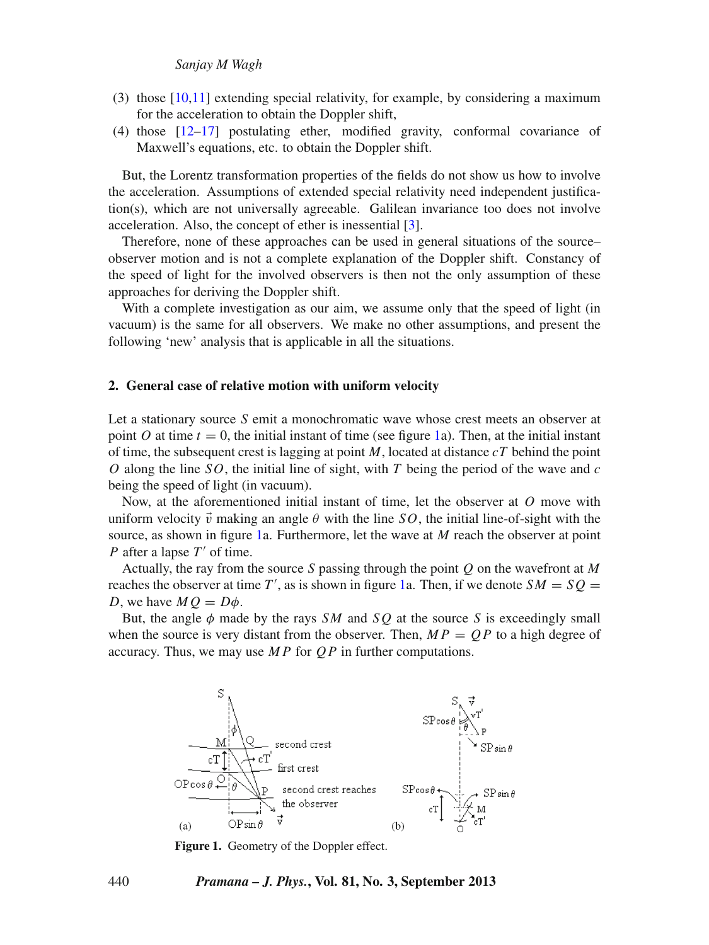- (3) those [\[10](#page-9-6)[,11](#page-9-7)] extending special relativity, for example, by considering a maximum for the acceleration to obtain the Doppler shift,
- (4) those [\[12](#page-9-8)[–17\]](#page-9-9) postulating ether, modified gravity, conformal covariance of Maxwell's equations, etc. to obtain the Doppler shift.

But, the Lorentz transformation properties of the fields do not show us how to involve the acceleration. Assumptions of extended special relativity need independent justification(s), which are not universally agreeable. Galilean invariance too does not involve acceleration. Also, the concept of ether is inessential [\[3\]](#page-9-1).

Therefore, none of these approaches can be used in general situations of the source– observer motion and is not a complete explanation of the Doppler shift. Constancy of the speed of light for the involved observers is then not the only assumption of these approaches for deriving the Doppler shift.

With a complete investigation as our aim, we assume only that the speed of light (in vacuum) is the same for all observers. We make no other assumptions, and present the following 'new' analysis that is applicable in all the situations.

#### **2. General case of relative motion with uniform velocity**

Let a stationary source *S* emit a monochromatic wave whose crest meets an observer at point *O* at time  $t = 0$ , the initial instant of time (see figure [1a](#page-1-0)). Then, at the initial instant of time, the subsequent crest is lagging at point *M*, located at distance *cT* behind the point *O* along the line *SO*, the initial line of sight, with *T* being the period of the wave and *c* being the speed of light (in vacuum).

Now, at the aforementioned initial instant of time, let the observer at *O* move with uniform velocity  $\vec{v}$  making an angle  $\theta$  with the line *SO*, the initial line-of-sight with the source, as shown in figure [1a](#page-1-0). Furthermore, let the wave at *M* reach the observer at point *P* after a lapse *T'* of time.

Actually, the ray from the source *S* passing through the point *Q* on the wavefront at *M* reaches the observer at time  $T'$ , as is shown in figure [1a](#page-1-0). Then, if we denote  $SM = SQ =$ *D*, we have  $MQ = D\phi$ .

But, the angle  $\phi$  made by the rays *SM* and *SQ* at the source *S* is exceedingly small when the source is very distant from the observer. Then,  $MP = OP$  to a high degree of accuracy. Thus, we may use *M P* for *Q P* in further computations.

<span id="page-1-0"></span>

**Figure 1.** Geometry of the Doppler effect.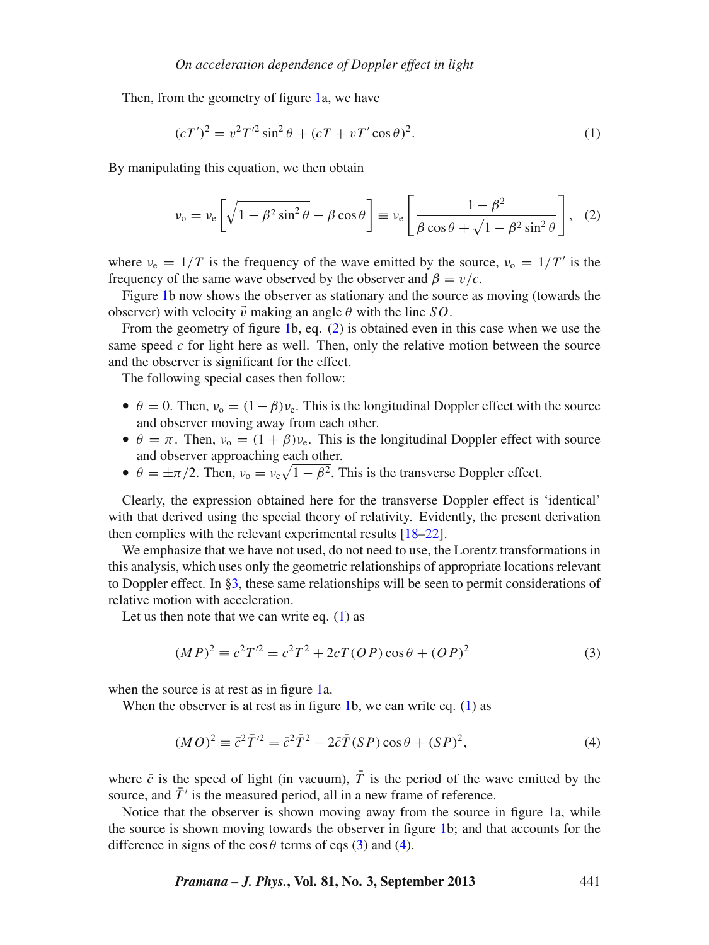Then, from the geometry of figure [1a](#page-1-0), we have

<span id="page-2-1"></span>
$$
(cT')^{2} = v^{2}T'^{2}\sin^{2}\theta + (cT + vT'\cos\theta)^{2}.
$$
 (1)

By manipulating this equation, we then obtain

<span id="page-2-0"></span>
$$
\nu_{o} = \nu_{e} \left[ \sqrt{1 - \beta^{2} \sin^{2} \theta} - \beta \cos \theta \right] \equiv \nu_{e} \left[ \frac{1 - \beta^{2}}{\beta \cos \theta + \sqrt{1 - \beta^{2} \sin^{2} \theta}} \right], \quad (2)
$$

where  $v_e = 1/T$  is the frequency of the wave emitted by the source,  $v_0 = 1/T$  is the frequency of the same wave observed by the observer and  $\beta = v/c$ .

Figure [1b](#page-1-0) now shows the observer as stationary and the source as moving (towards the observer) with velocity  $\vec{v}$  making an angle  $\theta$  with the line *SO*.

From the geometry of figure [1b](#page-1-0), eq. [\(2\)](#page-2-0) is obtained even in this case when we use the same speed *c* for light here as well. Then, only the relative motion between the source and the observer is significant for the effect.

The following special cases then follow:

- $\theta = 0$ . Then,  $v_0 = (1 \beta)v_e$ . This is the longitudinal Doppler effect with the source and observer moving away from each other.
- $\theta = \pi$ . Then,  $v_0 = (1 + \beta)v_e$ . This is the longitudinal Doppler effect with source and observer approaching each other.
- $\theta = \pm \pi/2$ . Then,  $v_0 = v_e \sqrt{1 \beta^2}$ . This is the transverse Doppler effect.

Clearly, the expression obtained here for the transverse Doppler effect is 'identical' with that derived using the special theory of relativity. Evidently, the present derivation then complies with the relevant experimental results [\[18](#page-9-10)[–22](#page-9-11)].

We emphasize that we have not used, do not need to use, the Lorentz transformations in this analysis, which uses only the geometric relationships of appropriate locations relevant to Doppler effect. In [§3,](#page-3-0) these same relationships will be seen to permit considerations of relative motion with acceleration.

Let us then note that we can write eq.  $(1)$  as

<span id="page-2-2"></span>
$$
(MP)^{2} \equiv c^{2}T'^{2} = c^{2}T^{2} + 2cT(OP)\cos\theta + (OP)^{2}
$$
 (3)

when the source is at rest as in figure [1a](#page-1-0).

When the observer is at rest as in figure [1b](#page-1-0), we can write eq.  $(1)$  as

<span id="page-2-3"></span>
$$
(MO)^2 \equiv \bar{c}^2 \bar{T}^2 = \bar{c}^2 \bar{T}^2 - 2\bar{c}\bar{T}(SP)\cos\theta + (SP)^2,
$$
\n<sup>(4)</sup>

where  $\bar{c}$  is the speed of light (in vacuum),  $\bar{T}$  is the period of the wave emitted by the source, and  $\bar{T}$ <sup> $\prime$ </sup> is the measured period, all in a new frame of reference.

Notice that the observer is shown moving away from the source in figure [1a](#page-1-0), while the source is shown moving towards the observer in figure [1b](#page-1-0); and that accounts for the difference in signs of the  $\cos \theta$  terms of eqs [\(3\)](#page-2-2) and [\(4\)](#page-2-3).

*Pramana – J. Phys.***, Vol. 81, No. 3, September 2013** 441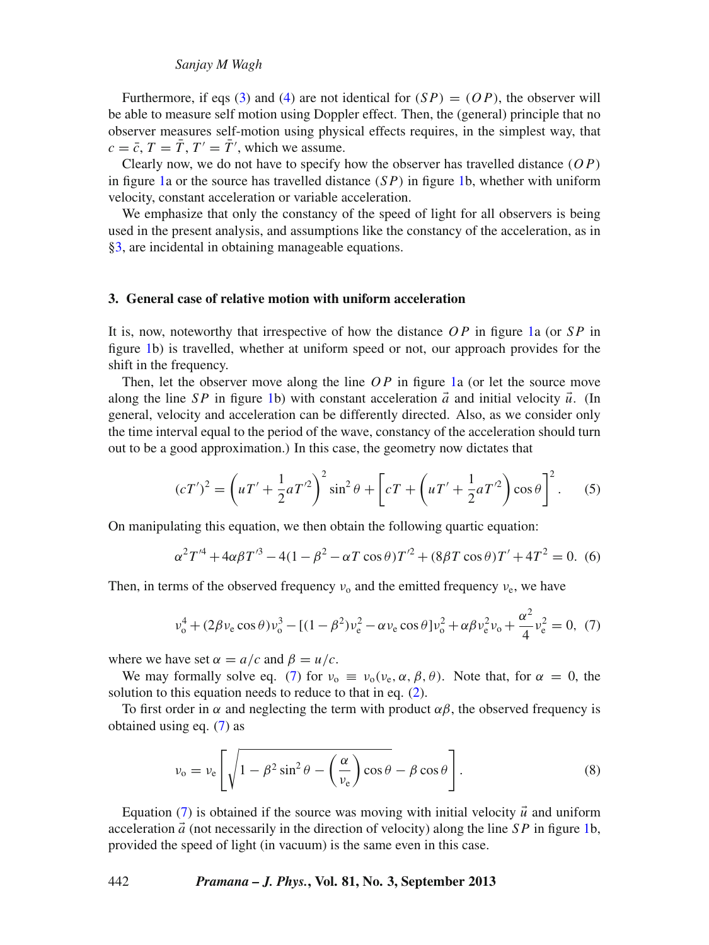#### *Sanjay M Wagh*

Furthermore, if eqs [\(3\)](#page-2-2) and [\(4\)](#page-2-3) are not identical for  $(SP) = (OP)$ , the observer will be able to measure self motion using Doppler effect. Then, the (general) principle that no observer measures self-motion using physical effects requires, in the simplest way, that  $c = \bar{c}$ ,  $T = \bar{T}$ ,  $T' = \bar{T}'$ , which we assume.

Clearly now, we do not have to specify how the observer has travelled distance (*O P*) in figure [1a](#page-1-0) or the source has travelled distance (*S P*) in figure [1b](#page-1-0), whether with uniform velocity, constant acceleration or variable acceleration.

We emphasize that only the constancy of the speed of light for all observers is being used in the present analysis, and assumptions like the constancy of the acceleration, as in [§3,](#page-3-0) are incidental in obtaining manageable equations.

#### <span id="page-3-0"></span>**3. General case of relative motion with uniform acceleration**

It is, now, noteworthy that irrespective of how the distance *O P* in figure [1a](#page-1-0) (or *S P* in figure [1b](#page-1-0)) is travelled, whether at uniform speed or not, our approach provides for the shift in the frequency.

Then, let the observer move along the line OP in figure [1a](#page-1-0) (or let the source move along the line *SP* in figure [1b](#page-1-0)) with constant acceleration  $\vec{a}$  and initial velocity  $\vec{u}$ . (In general, velocity and acceleration can be differently directed. Also, as we consider only the time interval equal to the period of the wave, constancy of the acceleration should turn out to be a good approximation.) In this case, the geometry now dictates that

$$
(cT')^2 = \left(uT' + \frac{1}{2}aT'^2\right)^2 \sin^2\theta + \left[cT + \left(uT' + \frac{1}{2}aT'^2\right)\cos\theta\right]^2.
$$
 (5)

On manipulating this equation, we then obtain the following quartic equation:

$$
\alpha^{2}T'^{4} + 4\alpha\beta T'^{3} - 4(1 - \beta^{2} - \alpha T\cos\theta)T'^{2} + (8\beta T\cos\theta)T' + 4T^{2} = 0.
$$
 (6)

Then, in terms of the observed frequency  $v_0$  and the emitted frequency  $v_e$ , we have

<span id="page-3-1"></span>
$$
v_o^4 + (2\beta v_e \cos \theta) v_o^3 - [(1 - \beta^2) v_e^2 - \alpha v_e \cos \theta] v_o^2 + \alpha \beta v_e^2 v_o + \frac{\alpha^2}{4} v_e^2 = 0, \tag{7}
$$

where we have set  $\alpha = a/c$  and  $\beta = u/c$ .

We may formally solve eq. [\(7\)](#page-3-1) for  $v_0 \equiv v_0(v_e, \alpha, \beta, \theta)$ . Note that, for  $\alpha = 0$ , the solution to this equation needs to reduce to that in eq. [\(2\)](#page-2-0).

To first order in  $\alpha$  and neglecting the term with product  $\alpha\beta$ , the observed frequency is obtained using eq. [\(7\)](#page-3-1) as

<span id="page-3-2"></span>
$$
\nu_{o} = \nu_{e} \left[ \sqrt{1 - \beta^{2} \sin^{2} \theta - \left(\frac{\alpha}{\nu_{e}}\right) \cos \theta} - \beta \cos \theta \right].
$$
 (8)

Equation  $(7)$  is obtained if the source was moving with initial velocity  $\vec{u}$  and uniform acceleration  $\vec{a}$  (not necessarily in the direction of velocity) along the line *SP* in figure [1b](#page-1-0), provided the speed of light (in vacuum) is the same even in this case.

#### 442 *Pramana – J. Phys.***, Vol. 81, No. 3, September 2013**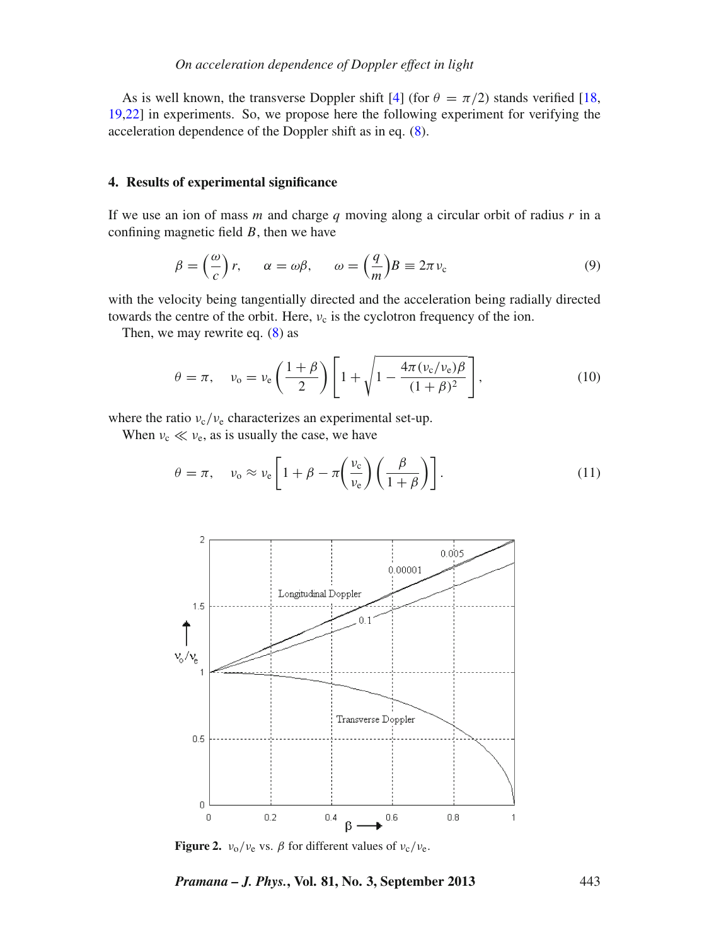As is well known, the transverse Doppler shift [\[4\]](#page-9-2) (for  $\theta = \pi/2$ ) stands verified [\[18,](#page-9-10) [19](#page-9-12)[,22](#page-9-11)] in experiments. So, we propose here the following experiment for verifying the acceleration dependence of the Doppler shift as in eq. [\(8\)](#page-3-2).

#### **4. Results of experimental significance**

If we use an ion of mass *m* and charge *q* moving along a circular orbit of radius *r* in a confining magnetic field *B*, then we have

<span id="page-4-2"></span>
$$
\beta = \left(\frac{\omega}{c}\right)r, \qquad \alpha = \omega\beta, \qquad \omega = \left(\frac{q}{m}\right)B \equiv 2\pi v_c \tag{9}
$$

with the velocity being tangentially directed and the acceleration being radially directed towards the centre of the orbit. Here,  $v_c$  is the cyclotron frequency of the ion.

Then, we may rewrite eq.  $(8)$  as

$$
\theta = \pi, \quad \nu_{o} = \nu_{e} \left( \frac{1+\beta}{2} \right) \left[ 1 + \sqrt{1 - \frac{4\pi (\nu_{c}/\nu_{e})\beta}{(1+\beta)^{2}}} \right], \tag{10}
$$

where the ratio  $v_c/v_e$  characterizes an experimental set-up.

When  $v_c \ll v_e$ , as is usually the case, we have

<span id="page-4-1"></span>
$$
\theta = \pi, \quad \nu_{o} \approx \nu_{e} \left[ 1 + \beta - \pi \left( \frac{\nu_{c}}{\nu_{e}} \right) \left( \frac{\beta}{1 + \beta} \right) \right]. \tag{11}
$$

<span id="page-4-0"></span>

**Figure 2.**  $v_0/v_e$  vs.  $\beta$  for different values of  $v_c/v_e$ .

*Pramana – J. Phys.***, Vol. 81, No. 3, September 2013** 443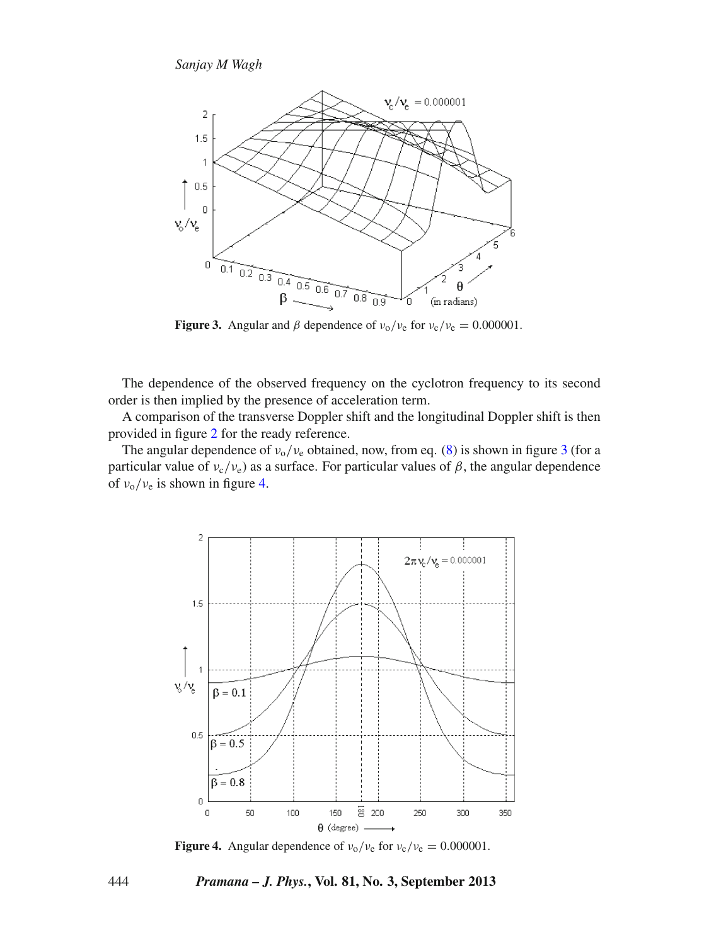<span id="page-5-0"></span>

**Figure 3.** Angular and  $\beta$  dependence of  $v_0/v_e$  for  $v_c/v_e = 0.000001$ .

The dependence of the observed frequency on the cyclotron frequency to its second order is then implied by the presence of acceleration term.

A comparison of the transverse Doppler shift and the longitudinal Doppler shift is then provided in figure [2](#page-4-0) for the ready reference.

The angular dependence of  $v_0/v_e$  obtained, now, from eq. [\(8\)](#page-3-2) is shown in figure [3](#page-5-0) (for a particular value of  $v_c/v_e$ ) as a surface. For particular values of  $\beta$ , the angular dependence of  $v_0/v_e$  is shown in figure [4.](#page-5-1)

<span id="page-5-1"></span>

**Figure 4.** Angular dependence of  $v_0/v_e$  for  $v_c/v_e = 0.000001$ .

#### 444 *Pramana – J. Phys.***, Vol. 81, No. 3, September 2013**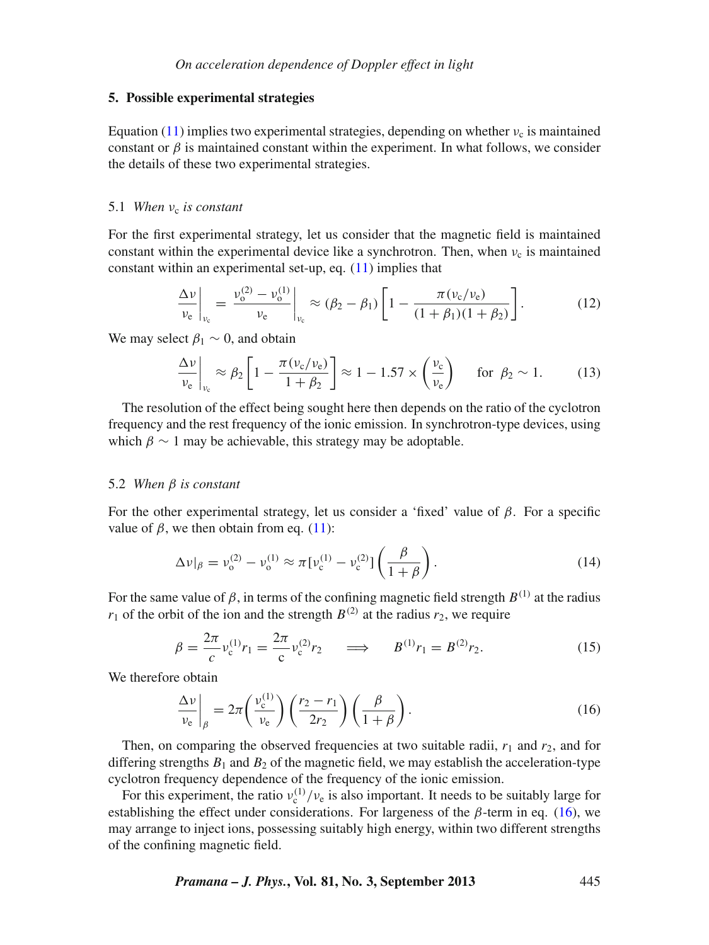#### **5. Possible experimental strategies**

Equation [\(11\)](#page-4-1) implies two experimental strategies, depending on whether  $v_c$  is maintained constant or  $\beta$  is maintained constant within the experiment. In what follows, we consider the details of these two experimental strategies.

## 5.1 *When*  $v_c$  *is constant*

For the first experimental strategy, let us consider that the magnetic field is maintained constant within the experimental device like a synchrotron. Then, when  $v_c$  is maintained constant within an experimental set-up, eq. [\(11\)](#page-4-1) implies that

$$
\left. \frac{\Delta v}{v_{\rm e}} \right|_{v_{\rm e}} = \left. \frac{v_{\rm o}^{(2)} - v_{\rm o}^{(1)}}{v_{\rm e}} \right|_{v_{\rm e}} \approx (\beta_2 - \beta_1) \left[ 1 - \frac{\pi (v_{\rm c}/v_{\rm e})}{(1 + \beta_1)(1 + \beta_2)} \right]. \tag{12}
$$

We may select  $\beta_1 \sim 0$ , and obtain

$$
\frac{\Delta v}{v_{\rm e}}\bigg|_{v_{\rm e}} \approx \beta_2 \left[1 - \frac{\pi (v_{\rm c}/v_{\rm e})}{1 + \beta_2}\right] \approx 1 - 1.57 \times \left(\frac{v_{\rm c}}{v_{\rm e}}\right) \quad \text{for } \beta_2 \sim 1. \tag{13}
$$

The resolution of the effect being sought here then depends on the ratio of the cyclotron frequency and the rest frequency of the ionic emission. In synchrotron-type devices, using which  $\beta \sim 1$  may be achievable, this strategy may be adoptable.

#### 5.2 *When* β *is constant*

For the other experimental strategy, let us consider a 'fixed' value of  $\beta$ . For a specific value of  $\beta$ , we then obtain from eq. [\(11\)](#page-4-1):

$$
\Delta v|_{\beta} = v_{o}^{(2)} - v_{o}^{(1)} \approx \pi [v_{c}^{(1)} - v_{c}^{(2)}] \left(\frac{\beta}{1+\beta}\right). \tag{14}
$$

For the same value of  $\beta$ , in terms of the confining magnetic field strength  $B^{(1)}$  at the radius  $r_1$  of the orbit of the ion and the strength  $B^{(2)}$  at the radius  $r_2$ , we require

$$
\beta = \frac{2\pi}{c} v_c^{(1)} r_1 = \frac{2\pi}{c} v_c^{(2)} r_2 \qquad \Longrightarrow \qquad B^{(1)} r_1 = B^{(2)} r_2. \tag{15}
$$

We therefore obtain

<span id="page-6-0"></span>
$$
\left. \frac{\Delta v}{v_{\rm e}} \right|_{\beta} = 2\pi \left( \frac{v_{\rm e}^{(1)}}{v_{\rm e}} \right) \left( \frac{r_2 - r_1}{2r_2} \right) \left( \frac{\beta}{1 + \beta} \right). \tag{16}
$$

Then, on comparing the observed frequencies at two suitable radii,  $r_1$  and  $r_2$ , and for differing strengths  $B_1$  and  $B_2$  of the magnetic field, we may establish the acceleration-type cyclotron frequency dependence of the frequency of the ionic emission.

For this experiment, the ratio  $v_c^{(1)}/v_e$  is also important. It needs to be suitably large for establishing the effect under considerations. For largeness of the  $\beta$ -term in eq. [\(16\)](#page-6-0), we may arrange to inject ions, possessing suitably high energy, within two different strengths of the confining magnetic field.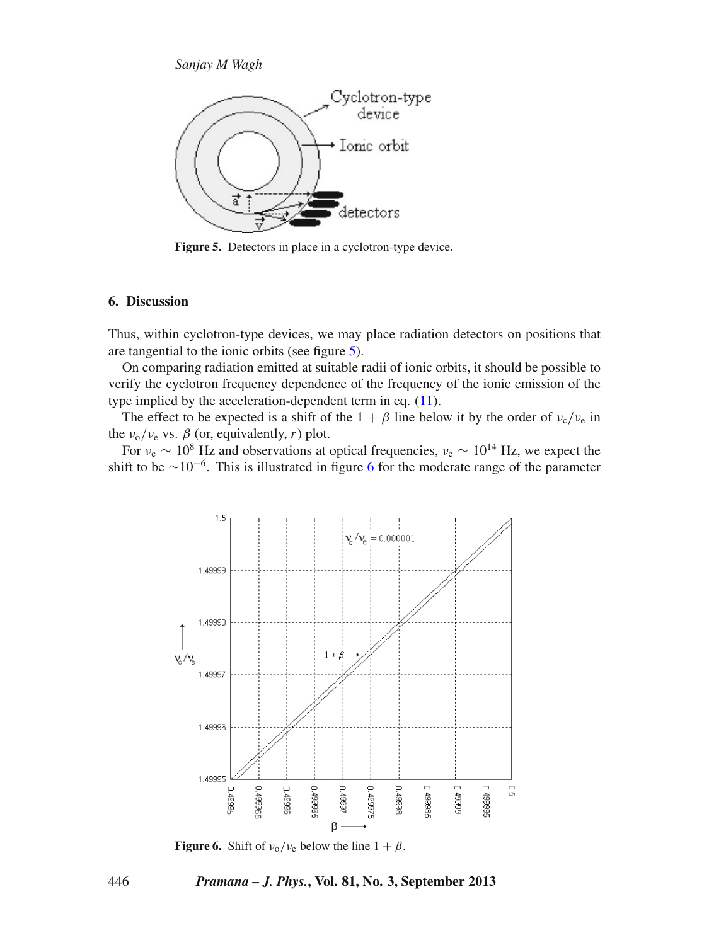<span id="page-7-0"></span>

Figure 5. Detectors in place in a cyclotron-type device.

## **6. Discussion**

Thus, within cyclotron-type devices, we may place radiation detectors on positions that are tangential to the ionic orbits (see figure [5\)](#page-7-0).

On comparing radiation emitted at suitable radii of ionic orbits, it should be possible to verify the cyclotron frequency dependence of the frequency of the ionic emission of the type implied by the acceleration-dependent term in eq. [\(11\)](#page-4-1).

The effect to be expected is a shift of the  $1 + \beta$  line below it by the order of  $v_c/v_e$  in the  $v_0/v_e$  vs.  $\beta$  (or, equivalently, *r*) plot.

For  $v_c \sim 10^8$  Hz and observations at optical frequencies,  $v_e \sim 10^{14}$  Hz, we expect the shift to be  $\sim 10^{-6}$  $\sim 10^{-6}$  $\sim 10^{-6}$ . This is illustrated in figure 6 for the moderate range of the parameter

<span id="page-7-1"></span>

**Figure 6.** Shift of  $v_0/v_e$  below the line  $1 + \beta$ .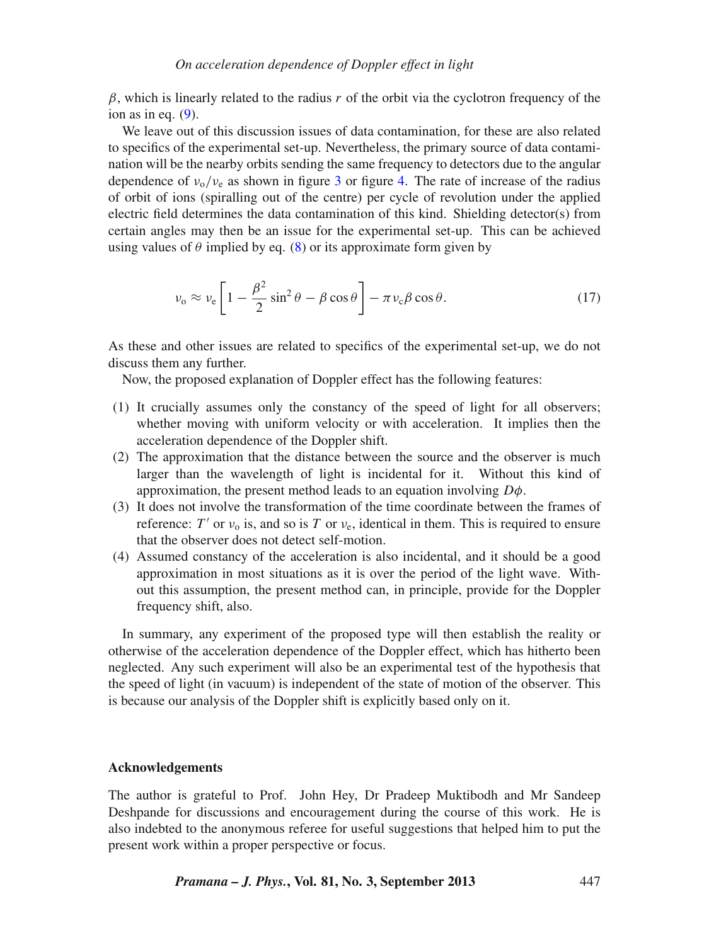β, which is linearly related to the radius *r* of the orbit via the cyclotron frequency of the ion as in eq.  $(9)$ .

We leave out of this discussion issues of data contamination, for these are also related to specifics of the experimental set-up. Nevertheless, the primary source of data contamination will be the nearby orbits sending the same frequency to detectors due to the angular dependence of  $v_0/v_e$  as shown in figure [3](#page-5-0) or figure [4.](#page-5-1) The rate of increase of the radius of orbit of ions (spiralling out of the centre) per cycle of revolution under the applied electric field determines the data contamination of this kind. Shielding detector(s) from certain angles may then be an issue for the experimental set-up. This can be achieved using values of  $\theta$  implied by eq. [\(8\)](#page-3-2) or its approximate form given by

$$
\nu_{o} \approx \nu_{e} \left[ 1 - \frac{\beta^{2}}{2} \sin^{2} \theta - \beta \cos \theta \right] - \pi \nu_{c} \beta \cos \theta.
$$
 (17)

As these and other issues are related to specifics of the experimental set-up, we do not discuss them any further.

Now, the proposed explanation of Doppler effect has the following features:

- (1) It crucially assumes only the constancy of the speed of light for all observers; whether moving with uniform velocity or with acceleration. It implies then the acceleration dependence of the Doppler shift.
- (2) The approximation that the distance between the source and the observer is much larger than the wavelength of light is incidental for it. Without this kind of approximation, the present method leads to an equation involving *D*φ.
- (3) It does not involve the transformation of the time coordinate between the frames of reference: *T'* or  $v_0$  is, and so is *T* or  $v_e$ , identical in them. This is required to ensure that the observer does not detect self-motion.
- (4) Assumed constancy of the acceleration is also incidental, and it should be a good approximation in most situations as it is over the period of the light wave. Without this assumption, the present method can, in principle, provide for the Doppler frequency shift, also.

In summary, any experiment of the proposed type will then establish the reality or otherwise of the acceleration dependence of the Doppler effect, which has hitherto been neglected. Any such experiment will also be an experimental test of the hypothesis that the speed of light (in vacuum) is independent of the state of motion of the observer. This is because our analysis of the Doppler shift is explicitly based only on it.

#### **Acknowledgements**

The author is grateful to Prof. John Hey, Dr Pradeep Muktibodh and Mr Sandeep Deshpande for discussions and encouragement during the course of this work. He is also indebted to the anonymous referee for useful suggestions that helped him to put the present work within a proper perspective or focus.